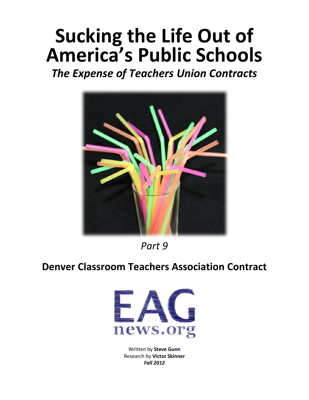# **Sucking the Life Out of America's Public Schools**

*The Expense of Teachers Union Contracts*



*Part 9*

# **Denver Classroom Teachers Association Contract**



Written by **Steve Gunn** Research by **Victor Skinner** *Fall 2012*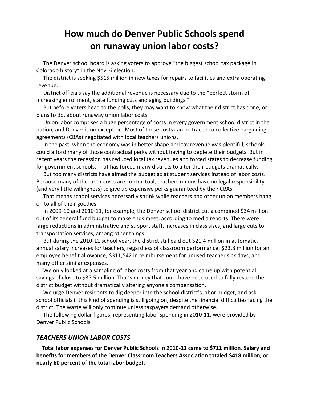## **How much do Denver Public Schools spend on runaway union labor costs?**

 The Denver school board is asking voters to approve "the biggest school tax package in Colorado history" in the Nov. 6 election.

 The district is seeking \$515 million in new taxes for repairs to facilities and extra operating revenue.

 District officials say the additional revenue is necessary due to the "perfect storm of increasing enrollment, state funding cuts and aging buildings."

 But before voters head to the polls, they may want to know what their district has done, or plans to do, about runaway union labor costs.

 Union labor comprises a huge percentage of costs in every government school district in the nation, and Denver is no exception. Most of those costs can be traced to collective bargaining agreements (CBAs) negotiated with local teachers unions.

 In the past, when the economy was in better shape and tax revenue was plentiful, schools could afford many of those contractual perks without having to deplete their budgets. But in recent years the recession has reduced local tax revenues and forced states to decrease funding for government schools. That has forced many districts to alter their budgets dramatically.

 But too many districts have aimed the budget ax at student services instead of labor costs. Because many of the labor costs are contractual, teachers unions have no legal responsibility (and very little willingness) to give up expensive perks guaranteed by their CBAs.

 That means school services necessarily shrink while teachers and other union members hang on to all of their goodies.

 In 2009-10 and 2010-11, for example, the Denver school district cut a combined \$34 million out of its general fund budget to make ends meet, according to media reports. There were large reductions in administrative and support staff, increases in class sizes, and large cuts to transportation services, among other things.

 But during the 2010-11 school year, the district still paid out \$21.4 million in automatic, annual salary increases for teachers, regardless of classroom performance; \$23.8 million for an employee benefit allowance, \$311,542 in reimbursement for unused teacher sick days, and many other similar expenses.

 We only looked at a sampling of labor costs from that year and came up with potential savings of close to \$37.5 million. That's money that could have been used to fully restore the district budget without dramatically altering anyone's compensation.

 We urge Denver residents to dig deeper into the school district's labor budget, and ask school officials if this kind of spending is still going on, despite the financial difficulties facing the district. The waste will only continue unless taxpayers demand otherwise.

 The following dollar figures, representing labor spending in 2010-11, were provided by Denver Public Schools.

#### *TEACHERS UNION LABOR COSTS*

 **Total labor expenses for Denver Public Schools in 2010-11 came to \$711 million. Salary and benefits for members of the Denver Classroom Teachers Association totaled \$418 million, or nearly 60 percent of the total labor budget.**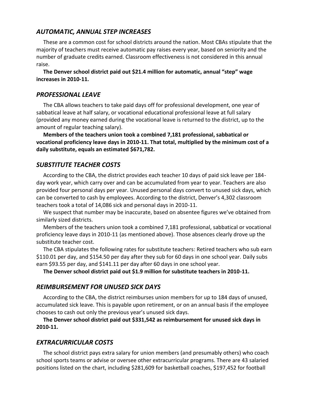#### *AUTOMATIC, ANNUAL STEP INCREASES*

 These are a common cost for school districts around the nation. Most CBAs stipulate that the majority of teachers must receive automatic pay raises every year, based on seniority and the number of graduate credits earned. Classroom effectiveness is not considered in this annual raise.

 **The Denver school district paid out \$21.4 million for automatic, annual "step" wage increases in 2010-11.**

#### *PROFESSIONAL LEAVE*

 The CBA allows teachers to take paid days off for professional development, one year of sabbatical leave at half salary, or vocational educational professional leave at full salary (provided any money earned during the vocational leave is returned to the district, up to the amount of regular teaching salary).

 **Members of the teachers union took a combined 7,181 professional, sabbatical or vocational proficiency leave days in 2010-11. That total, multiplied by the minimum cost of a daily substitute, equals an estimated \$671,782.**

#### *SUBSTITUTE TEACHER COSTS*

 According to the CBA, the district provides each teacher 10 days of paid sick leave per 184 day work year, which carry over and can be accumulated from year to year. Teachers are also provided four personal days per year. Unused personal days convert to unused sick days, which can be converted to cash by employees. According to the district, Denver's 4,302 classroom teachers took a total of 14,086 sick and personal days in 2010-11.

 We suspect that number may be inaccurate, based on absentee figures we've obtained from similarly sized districts.

 Members of the teachers union took a combined 7,181 professional, sabbatical or vocational proficiency leave days in 2010-11 (as mentioned above). Those absences clearly drove up the substitute teacher cost.

 The CBA stipulates the following rates for substitute teachers: Retired teachers who sub earn \$110.01 per day, and \$154.50 per day after they sub for 60 days in one school year. Daily subs earn \$93.55 per day, and \$141.11 per day after 60 days in one school year.

 **The Denver school district paid out \$1.9 million for substitute teachers in 2010-11.**

#### *REIMBURSEMENT FOR UNUSED SICK DAYS*

 According to the CBA, the district reimburses union members for up to 184 days of unused, accumulated sick leave. This is payable upon retirement, or on an annual basis if the employee chooses to cash out only the previous year's unused sick days.

 **The Denver school district paid out \$331,542 as reimbursement for unused sick days in 2010-11.**

#### *EXTRACURRICULAR COSTS*

 The school district pays extra salary for union members (and presumably others) who coach school sports teams or advise or oversee other extracurricular programs. There are 43 salaried positions listed on the chart, including \$281,609 for basketball coaches, \$197,452 for football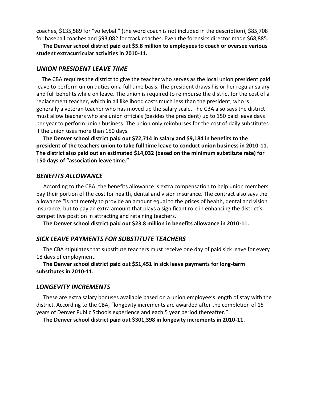coaches, \$135,589 for "volleyball" (the word coach is not included in the description), \$85,708 for baseball coaches and \$93,082 for track coaches. Even the forensics director made \$68,885.

 **The Denver school district paid out \$5.8 million to employees to coach or oversee various student extracurricular activities in 2010-11.**

#### *UNION PRESIDENT LEAVE TIME*

 The CBA requires the district to give the teacher who serves as the local union president paid leave to perform union duties on a full time basis. The president draws his or her regular salary and full benefits while on leave. The union is required to reimburse the district for the cost of a replacement teacher, which in all likelihood costs much less than the president, who is generally a veteran teacher who has moved up the salary scale. The CBA also says the district must allow teachers who are union officials (besides the president) up to 150 paid leave days per year to perform union business. The union only reimburses for the cost of daily substitutes if the union uses more than 150 days.

 **The Denver school district paid out \$72,714 in salary and \$9,184 in benefits to the president of the teachers union to take full time leave to conduct union business in 2010-11. The district also paid out an estimated \$14,032 (based on the minimum substitute rate) for 150 days of "association leave time."** 

#### *BENEFITS ALLOWANCE*

 According to the CBA, the benefits allowance is extra compensation to help union members pay their portion of the cost for health, dental and vision insurance. The contract also says the allowance "is not merely to provide an amount equal to the prices of health, dental and vision insurance, but to pay an extra amount that plays a significant role in enhancing the district's competitive position in attracting and retaining teachers."

 **The Denver school district paid out \$23.8 million in benefits allowance in 2010-11.**

#### *SICK LEAVE PAYMENTS FOR SUBSTITUTE TEACHERS*

 The CBA stipulates that substitute teachers must receive one day of paid sick leave for every 18 days of employment.

 **The Denver school district paid out \$51,451 in sick leave payments for long-term substitutes in 2010-11.**

#### *LONGEVITY INCREMENTS*

 These are extra salary bonuses available based on a union employee's length of stay with the district. According to the CBA, "longevity increments are awarded after the completion of 15 years of Denver Public Schools experience and each 5 year period thereafter."

 **The Denver school district paid out \$301,398 in longevity increments in 2010-11.**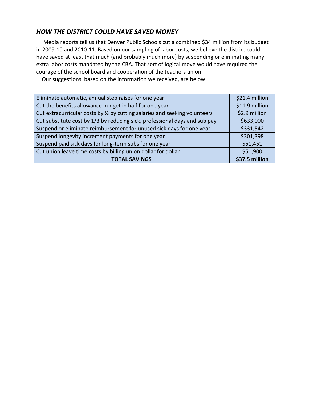### *HOW THE DISTRICT COULD HAVE SAVED MONEY*

 Media reports tell us that Denver Public Schools cut a combined \$34 million from its budget in 2009-10 and 2010-11. Based on our sampling of labor costs, we believe the district could have saved at least that much (and probably much more) by suspending or eliminating many extra labor costs mandated by the CBA. That sort of logical move would have required the courage of the school board and cooperation of the teachers union.

Eliminate automatic, annual step raises for one year **1998** and 1991 and 1991 and 1991 and 1991 and 1991 and 199 Cut the benefits allowance budget in half for one year  $\vert$  \$11.9 million Cut extracurricular costs by  $\frac{1}{2}$  by cutting salaries and seeking volunteers  $\left| \right|$  \$2.9 million Cut substitute cost by 1/3 by reducing sick, professional days and sub pay  $\sim$  \$633,000 Suspend or eliminate reimbursement for unused sick days for one year  $\vert$  \$331,542 Suspend longevity increment payments for one year \$301,398 \$301,398 Suspend paid sick days for long-term subs for one year  $\vert$  \$51,451 Cut union leave time costs by billing union dollar for dollar  $\vert$  \$51,900 **TOTAL SAVINGS \$37.5 million**

Our suggestions, based on the information we received, are below: